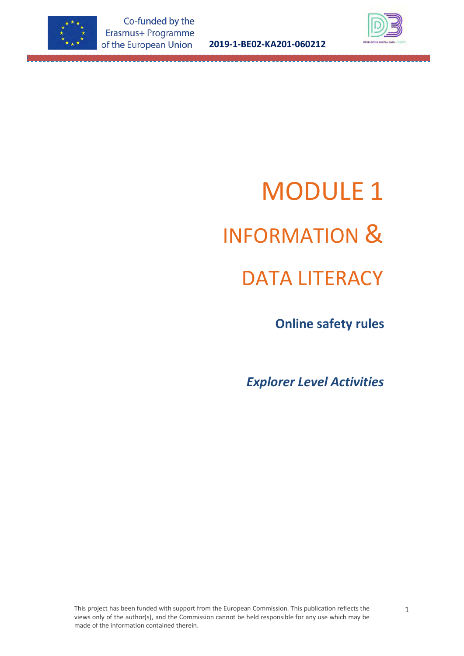

**2019-1-BE02-KA201-060212**



# MODULE 1 INFORMATION & DATA LITERACY

 **Online safety rules**

*Explorer Level Activities*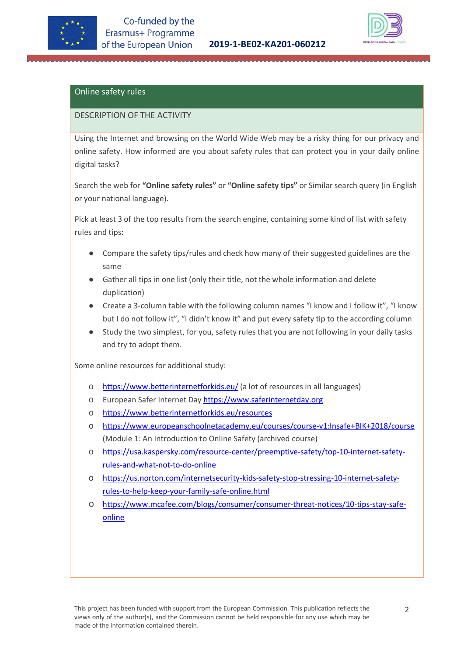



## Online safety rules

#### DESCRIPTION OF THE ACTIVITY

Using the Internet and browsing on the World Wide Web may be a risky thing for our privacy and online safety. How informed are you about safety rules that can protect you in your daily online digital tasks?

Search the web for **"Online safety rules"** or **"Online safety tips"** or Similar search query (in English or your national language).

Pick at least 3 of the top results from the search engine, containing some kind of list with safety rules and tips:

- Compare the safety tips/rules and check how many of their suggested guidelines are the same
- Gather all tips in one list (only their title, not the whole information and delete duplication)
- Create a 3-column table with the following column names "I know and I follow it", "I know but I do not follow it", "I didn't know it" and put every safety tip to the according column
- Study the two simplest, for you, safety rules that you are not following in your daily tasks and try to adopt them.

Some online resources for additional study:

- o <https://www.betterinternetforkids.eu/> (a lot of resources in all languages)
- o European Safer Internet Day [https://www.saferinternetday.org](https://www.saferinternetday.org/)
- o <https://www.betterinternetforkids.eu/resources>
- [https://www.europeanschoolnetacademy.eu/courses/course-v1:Insafe+BIK+2018/course](https://www.europeanschoolnetacademy.eu/courses/course-v1:Insafe+BIK+2018/course/) (Module 1: An Introduction to Online Safety (archived course)
- o [https://usa.kaspersky.com/resource-center/preemptive-safety/top-10-internet-safety](https://usa.kaspersky.com/resource-center/preemptive-safety/top-10-internet-safety-rules-and-what-not-to-do-online)[rules-and-what-not-to-do-online](https://usa.kaspersky.com/resource-center/preemptive-safety/top-10-internet-safety-rules-and-what-not-to-do-online)
- o [https://us.norton.com/internetsecurity-kids-safety-stop-stressing-10-internet-safety](https://us.norton.com/internetsecurity-kids-safety-stop-stressing-10-internet-safety-rules-to-help-keep-your-family-safe-online.html)[rules-to-help-keep-your-family-safe-online.html](https://us.norton.com/internetsecurity-kids-safety-stop-stressing-10-internet-safety-rules-to-help-keep-your-family-safe-online.html)
- o [https://www.mcafee.com/blogs/consumer/consumer-threat-notices/10-tips-stay-safe](https://www.mcafee.com/blogs/consumer/consumer-threat-notices/10-tips-stay-safe-online/)[online](https://www.mcafee.com/blogs/consumer/consumer-threat-notices/10-tips-stay-safe-online/)